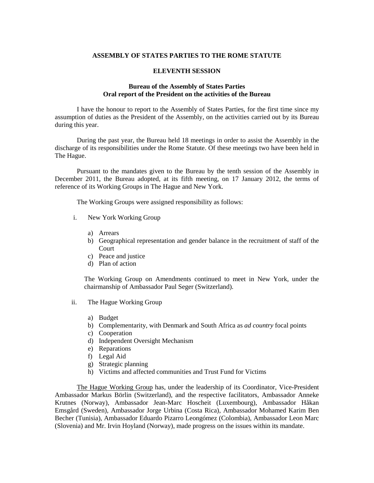## **ASSEMBLY OF STATES PARTIES TO THE ROME STATUTE**

## **ELEVENTH SESSION**

## **Bureau of the Assembly of States Parties Oral report of the President on the activities of the Bureau**

I have the honour to report to the Assembly of States Parties, for the first time since my assumption of duties as the President of the Assembly, on the activities carried out by its Bureau during this year.

 During the past year, the Bureau held 18 meetings in order to assist the Assembly in the discharge of its responsibilities under the Rome Statute. Of these meetings two have been held in The Hague.

 Pursuant to the mandates given to the Bureau by the tenth session of the Assembly in December 2011, the Bureau adopted, at its fifth meeting, on 17 January 2012, the terms of reference of its Working Groups in The Hague and New York.

The Working Groups were assigned responsibility as follows:

- i. New York Working Group
	- a) Arrears
	- b) Geographical representation and gender balance in the recruitment of staff of the Court
	- c) Peace and justice
	- d) Plan of action

The Working Group on Amendments continued to meet in New York, under the chairmanship of Ambassador Paul Seger (Switzerland).

- ii. The Hague Working Group
	- a) Budget
	- b) Complementarity, with Denmark and South Africa as *ad country* focal points
	- c) Cooperation
	- d) Independent Oversight Mechanism
	- e) Reparations
	- f) Legal Aid
	- g) Strategic planning
	- h) Victims and affected communities and Trust Fund for Victims

The Hague Working Group has, under the leadership of its Coordinator, Vice-President Ambassador Markus Börlin (Switzerland), and the respective facilitators, Ambassador Anneke Krutnes (Norway), Ambassador Jean-Marc Hoscheit (Luxembourg), Ambassador Håkan Emsgård (Sweden), Ambassador Jorge Urbina (Costa Rica), Ambassador Mohamed Karim Ben Becher (Tunisia), Ambassador Eduardo Pizarro Leongómez (Colombia), Ambassador Leon Marc (Slovenia) and Mr. Irvin Hoyland (Norway), made progress on the issues within its mandate.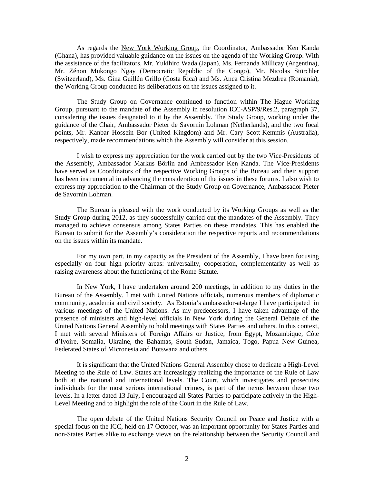As regards the New York Working Group, the Coordinator, Ambassador Ken Kanda (Ghana), has provided valuable guidance on the issues on the agenda of the Working Group. With the assistance of the facilitators, Mr. Yukihiro Wada (Japan), Ms. Fernanda Millicay (Argentina), Mr. Zénon Mukongo Ngay (Democratic Republic of the Congo), Mr. Nicolas Stürchler (Switzerland), Ms. Gina Guillén Grillo (Costa Rica) and Ms. Anca Cristina Mezdrea (Romania), the Working Group conducted its deliberations on the issues assigned to it.

The Study Group on Governance continued to function within The Hague Working Group, pursuant to the mandate of the Assembly in resolution ICC-ASP/9/Res.2, paragraph 37, considering the issues designated to it by the Assembly. The Study Group, working under the guidance of the Chair, Ambassador Pieter de Savornin Lohman (Netherlands), and the two focal points, Mr. Kanbar Hossein Bor (United Kingdom) and Mr. Cary Scott-Kemmis (Australia), respectively, made recommendations which the Assembly will consider at this session.

I wish to express my appreciation for the work carried out by the two Vice-Presidents of the Assembly, Ambassador Markus Börlin and Ambassador Ken Kanda. The Vice-Presidents have served as Coordinators of the respective Working Groups of the Bureau and their support has been instrumental in advancing the consideration of the issues in these forums. I also wish to express my appreciation to the Chairman of the Study Group on Governance, Ambassador Pieter de Savornin Lohman.

The Bureau is pleased with the work conducted by its Working Groups as well as the Study Group during 2012, as they successfully carried out the mandates of the Assembly. They managed to achieve consensus among States Parties on these mandates. This has enabled the Bureau to submit for the Assembly's consideration the respective reports and recommendations on the issues within its mandate.

For my own part, in my capacity as the President of the Assembly, I have been focusing especially on four high priority areas: universality, cooperation, complementarity as well as raising awareness about the functioning of the Rome Statute.

In New York, I have undertaken around 200 meetings, in addition to my duties in the Bureau of the Assembly. I met with United Nations officials, numerous members of diplomatic community, academia and civil society. As Estonia's ambassador-at-large I have participated in various meetings of the United Nations. As my predecessors, I have taken advantage of the presence of ministers and high-level officials in New York during the General Debate of the United Nations General Assembly to hold meetings with States Parties and others. In this context, I met with several Ministers of Foreign Affairs or Justice, from Egypt, Mozambique, Côte d'Ivoire, Somalia, Ukraine, the Bahamas, South Sudan, Jamaica, Togo, Papua New Guinea, Federated States of Micronesia and Botswana and others.

It is significant that the United Nations General Assembly chose to dedicate a High-Level Meeting to the Rule of Law. States are increasingly realizing the importance of the Rule of Law both at the national and international levels. The Court, which investigates and prosecutes individuals for the most serious international crimes, is part of the nexus between these two levels. In a letter dated 13 July, I encouraged all States Parties to participate actively in the High-Level Meeting and to highlight the role of the Court in the Rule of Law.

The open debate of the United Nations Security Council on Peace and Justice with a special focus on the ICC, held on 17 October, was an important opportunity for States Parties and non-States Parties alike to exchange views on the relationship between the Security Council and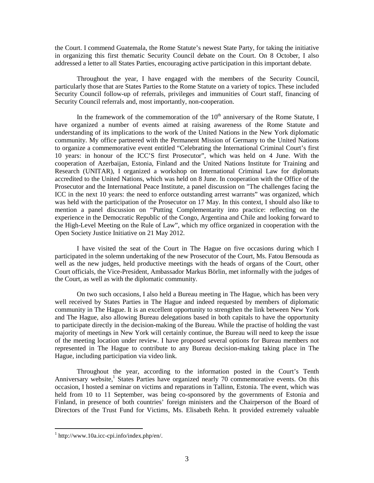the Court. I commend Guatemala, the Rome Statute's newest State Party, for taking the initiative in organizing this first thematic Security Council debate on the Court. On 8 October, I also addressed a letter to all States Parties, encouraging active participation in this important debate.

Throughout the year, I have engaged with the members of the Security Council, particularly those that are States Parties to the Rome Statute on a variety of topics. These included Security Council follow-up of referrals, privileges and immunities of Court staff, financing of Security Council referrals and, most importantly, non-cooperation.

In the framework of the commemoration of the  $10<sup>th</sup>$  anniversary of the Rome Statute, I have organized a number of events aimed at raising awareness of the Rome Statute and understanding of its implications to the work of the United Nations in the New York diplomatic community. My office partnered with the Permanent Mission of Germany to the United Nations to organize a commemorative event entitled "Celebrating the International Criminal Court's first 10 years: in honour of the ICC'S first Prosecutor", which was held on 4 June. With the cooperation of Azerbaijan, Estonia, Finland and the United Nations Institute for Training and Research (UNITAR), I organized a workshop on International Criminal Law for diplomats accredited to the United Nations, which was held on 8 June. In cooperation with the Office of the Prosecutor and the International Peace Institute, a panel discussion on "The challenges facing the ICC in the next 10 years: the need to enforce outstanding arrest warrants" was organized, which was held with the participation of the Prosecutor on 17 May. In this context, I should also like to mention a panel discussion on "Putting Complementarity into practice: reflecting on the experience in the Democratic Republic of the Congo, Argentina and Chile and looking forward to the High-Level Meeting on the Rule of Law", which my office organized in cooperation with the Open Society Justice Initiative on 21 May 2012.

I have visited the seat of the Court in The Hague on five occasions during which I participated in the solemn undertaking of the new Prosecutor of the Court, Ms. Fatou Bensouda as well as the new judges, held productive meetings with the heads of organs of the Court, other Court officials, the Vice-President, Ambassador Markus Börlin, met informally with the judges of the Court, as well as with the diplomatic community.

On two such occasions, I also held a Bureau meeting in The Hague, which has been very well received by States Parties in The Hague and indeed requested by members of diplomatic community in The Hague. It is an excellent opportunity to strengthen the link between New York and The Hague, also allowing Bureau delegations based in both capitals to have the opportunity to participate directly in the decision-making of the Bureau. While the practise of holding the vast majority of meetings in New York will certainly continue, the Bureau will need to keep the issue of the meeting location under review. I have proposed several options for Bureau members not represented in The Hague to contribute to any Bureau decision-making taking place in The Hague, including participation via video link*.*

Throughout the year, according to the information posted in the Court's Tenth Anniversary website,<sup>1</sup> States Parties have organized nearly 70 commemorative events. On this occasion, I hosted a seminar on victims and reparations in Tallinn, Estonia. The event, which was held from 10 to 11 September, was being co-sponsored by the governments of Estonia and Finland, in presence of both countries' foreign ministers and the Chairperson of the Board of Directors of the Trust Fund for Victims, Ms. Elisabeth Rehn. It provided extremely valuable

 $\overline{a}$ 

<sup>1</sup> http://www.10a.icc-cpi.info/index.php/en/.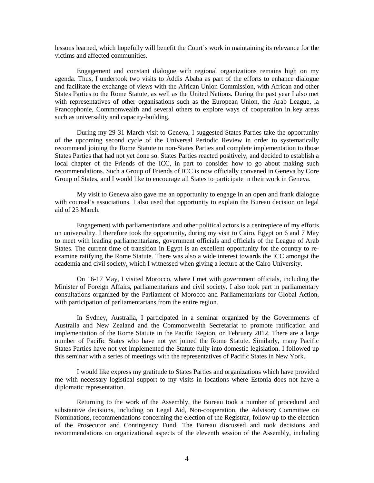lessons learned, which hopefully will benefit the Court's work in maintaining its relevance for the victims and affected communities.

Engagement and constant dialogue with regional organizations remains high on my agenda. Thus, I undertook two visits to Addis Ababa as part of the efforts to enhance dialogue and facilitate the exchange of views with the African Union Commission, with African and other States Parties to the Rome Statute, as well as the United Nations. During the past year I also met with representatives of other organisations such as the European Union, the Arab League, la Francophonie, Commonwealth and several others to explore ways of cooperation in key areas such as universality and capacity-building.

During my 29-31 March visit to Geneva, I suggested States Parties take the opportunity of the upcoming second cycle of the Universal Periodic Review in order to systematically recommend joining the Rome Statute to non-States Parties and complete implementation to those States Parties that had not yet done so. States Parties reacted positively, and decided to establish a local chapter of the Friends of the ICC, in part to consider how to go about making such recommendations. Such a Group of Friends of ICC is now officially convened in Geneva by Core Group of States, and I would like to encourage all States to participate in their work in Geneva.

My visit to Geneva also gave me an opportunity to engage in an open and frank dialogue with counsel's associations. I also used that opportunity to explain the Bureau decision on legal aid of 23 March.

Engagement with parliamentarians and other political actors is a centrepiece of my efforts on universality. I therefore took the opportunity, during my visit to Cairo, Egypt on 6 and 7 May to meet with leading parliamentarians, government officials and officials of the League of Arab States. The current time of transition in Egypt is an excellent opportunity for the country to reexamine ratifying the Rome Statute. There was also a wide interest towards the ICC amongst the academia and civil society, which I witnessed when giving a lecture at the Cairo University.

On 16-17 May, I visited Morocco, where I met with government officials, including the Minister of Foreign Affairs, parliamentarians and civil society. I also took part in parliamentary consultations organized by the Parliament of Morocco and Parliamentarians for Global Action, with participation of parliamentarians from the entire region.

In Sydney, Australia, I participated in a seminar organized by the Governments of Australia and New Zealand and the Commonwealth Secretariat to promote ratification and implementation of the Rome Statute in the Pacific Region, on February 2012. There are a large number of Pacific States who have not yet joined the Rome Statute. Similarly, many Pacific States Parties have not yet implemented the Statute fully into domestic legislation. I followed up this seminar with a series of meetings with the representatives of Pacific States in New York.

I would like express my gratitude to States Parties and organizations which have provided me with necessary logistical support to my visits in locations where Estonia does not have a diplomatic representation.

Returning to the work of the Assembly, the Bureau took a number of procedural and substantive decisions, including on Legal Aid, Non-cooperation, the Advisory Committee on Nominations, recommendations concerning the election of the Registrar, follow-up to the election of the Prosecutor and Contingency Fund. The Bureau discussed and took decisions and recommendations on organizational aspects of the eleventh session of the Assembly, including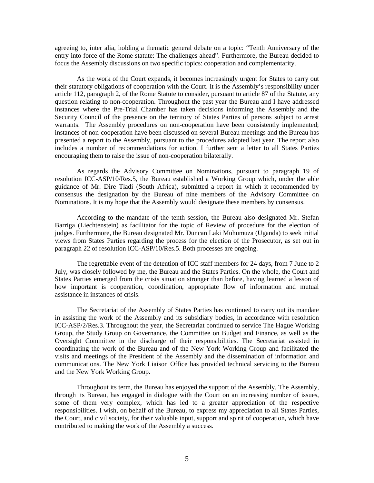agreeing to, inter alia, holding a thematic general debate on a topic: "Tenth Anniversary of the entry into force of the Rome statute: The challenges ahead". Furthermore, the Bureau decided to focus the Assembly discussions on two specific topics: cooperation and complementarity.

As the work of the Court expands, it becomes increasingly urgent for States to carry out their statutory obligations of cooperation with the Court. It is the Assembly's responsibility under article 112, paragraph 2, of the Rome Statute to consider, pursuant to article 87 of the Statute, any question relating to non-cooperation. Throughout the past year the Bureau and I have addressed instances where the Pre-Trial Chamber has taken decisions informing the Assembly and the Security Council of the presence on the territory of States Parties of persons subject to arrest warrants. The Assembly procedures on non-cooperation have been consistently implemented; instances of non-cooperation have been discussed on several Bureau meetings and the Bureau has presented a report to the Assembly, pursuant to the procedures adopted last year. The report also includes a number of recommendations for action. I further sent a letter to all States Parties encouraging them to raise the issue of non-cooperation bilaterally.

As regards the Advisory Committee on Nominations, pursuant to paragraph 19 of resolution ICC-ASP/10/Res.5, the Bureau established a Working Group which, under the able guidance of Mr. Dire Tladi (South Africa), submitted a report in which it recommended by consensus the designation by the Bureau of nine members of the Advisory Committee on Nominations. It is my hope that the Assembly would designate these members by consensus.

 According to the mandate of the tenth session, the Bureau also designated Mr. Stefan Barriga (Liechtenstein) as facilitator for the topic of Review of procedure for the election of judges. Furthermore, the Bureau designated Mr. Duncan Laki Muhumuza (Uganda) to seek initial views from States Parties regarding the process for the election of the Prosecutor, as set out in paragraph 22 of resolution ICC-ASP/10/Res.5. Both processes are ongoing.

 The regrettable event of the detention of ICC staff members for 24 days, from 7 June to 2 July, was closely followed by me, the Bureau and the States Parties. On the whole, the Court and States Parties emerged from the crisis situation stronger than before, having learned a lesson of how important is cooperation, coordination, appropriate flow of information and mutual assistance in instances of crisis.

The Secretariat of the Assembly of States Parties has continued to carry out its mandate in assisting the work of the Assembly and its subsidiary bodies, in accordance with resolution ICC-ASP/2/Res.3. Throughout the year, the Secretariat continued to service The Hague Working Group, the Study Group on Governance, the Committee on Budget and Finance, as well as the Oversight Committee in the discharge of their responsibilities. The Secretariat assisted in coordinating the work of the Bureau and of the New York Working Group and facilitated the visits and meetings of the President of the Assembly and the dissemination of information and communications. The New York Liaison Office has provided technical servicing to the Bureau and the New York Working Group.

Throughout its term, the Bureau has enjoyed the support of the Assembly. The Assembly, through its Bureau, has engaged in dialogue with the Court on an increasing number of issues, some of them very complex, which has led to a greater appreciation of the respective responsibilities. I wish, on behalf of the Bureau, to express my appreciation to all States Parties, the Court, and civil society, for their valuable input, support and spirit of cooperation, which have contributed to making the work of the Assembly a success.